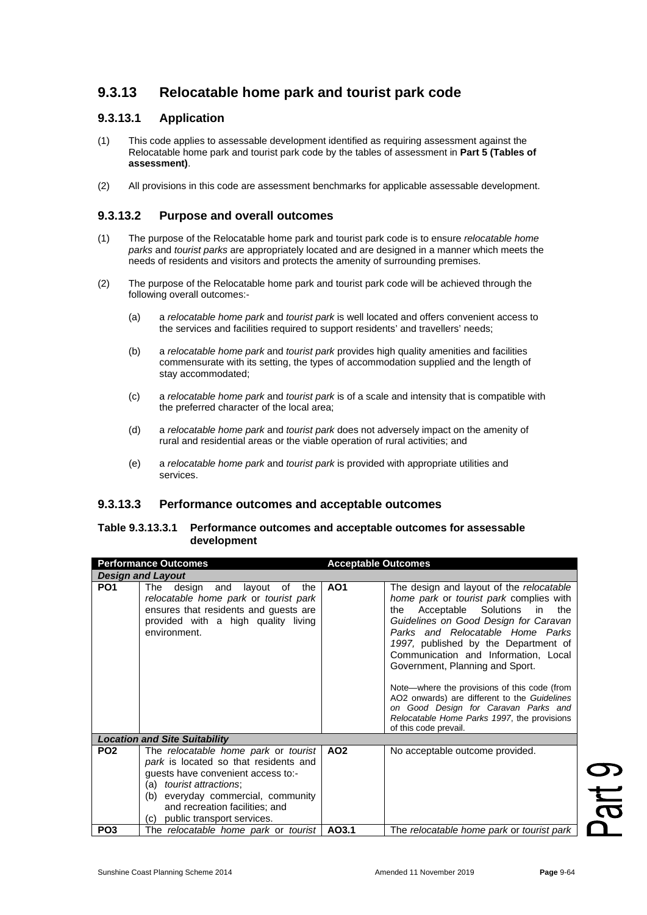# **9.3.13 Relocatable home park and tourist park code**

## **9.3.13.1 Application**

- (1) This code applies to assessable development identified as requiring assessment against the Relocatable home park and tourist park code by the tables of assessment in **Part 5 (Tables of assessment)**.
- (2) All provisions in this code are assessment benchmarks for applicable assessable development.

### **9.3.13.2 Purpose and overall outcomes**

- (1) The purpose of the Relocatable home park and tourist park code is to ensure *relocatable home parks* and *tourist parks* are appropriately located and are designed in a manner which meets the needs of residents and visitors and protects the amenity of surrounding premises.
- (2) The purpose of the Relocatable home park and tourist park code will be achieved through the following overall outcomes:-
	- (a) a *relocatable home park* and *tourist park* is well located and offers convenient access to the services and facilities required to support residents' and travellers' needs;
	- (b) a *relocatable home park* and *tourist park* provides high quality amenities and facilities commensurate with its setting, the types of accommodation supplied and the length of stay accommodated;
	- (c) a *relocatable home park* and *tourist park* is of a scale and intensity that is compatible with the preferred character of the local area;
	- (d) a *relocatable home park* and *tourist park* does not adversely impact on the amenity of rural and residential areas or the viable operation of rural activities; and
	- (e) a *relocatable home park* and *tourist park* is provided with appropriate utilities and services.

#### **9.3.13.3 Performance outcomes and acceptable outcomes**

#### **Table 9.3.13.3.1 Performance outcomes and acceptable outcomes for assessable development**

| <b>Performance Outcomes</b> |                                                                                                                                                                                                                                                                       | <b>Acceptable Outcomes</b> |                                                                                                                                                                                                                                                                                                                                                                                                                                                                                                                                                 |  |
|-----------------------------|-----------------------------------------------------------------------------------------------------------------------------------------------------------------------------------------------------------------------------------------------------------------------|----------------------------|-------------------------------------------------------------------------------------------------------------------------------------------------------------------------------------------------------------------------------------------------------------------------------------------------------------------------------------------------------------------------------------------------------------------------------------------------------------------------------------------------------------------------------------------------|--|
|                             | <b>Design and Layout</b>                                                                                                                                                                                                                                              |                            |                                                                                                                                                                                                                                                                                                                                                                                                                                                                                                                                                 |  |
| PO <sub>1</sub>             | The<br>design<br>and layout of<br>the<br>relocatable home park or tourist park<br>ensures that residents and quests are<br>provided with a high quality living<br>environment.                                                                                        | AO <sub>1</sub>            | The design and layout of the relocatable<br>home park or tourist park complies with<br>Acceptable Solutions<br>in<br>the<br>the<br>Guidelines on Good Design for Caravan<br>Parks and Relocatable Home Parks<br>1997, published by the Department of<br>Communication and Information, Local<br>Government, Planning and Sport.<br>Note—where the provisions of this code (from<br>AO2 onwards) are different to the Guidelines<br>on Good Design for Caravan Parks and<br>Relocatable Home Parks 1997, the provisions<br>of this code prevail. |  |
|                             | <b>Location and Site Suitability</b>                                                                                                                                                                                                                                  |                            |                                                                                                                                                                                                                                                                                                                                                                                                                                                                                                                                                 |  |
| PO <sub>2</sub>             | The relocatable home park or tourist<br>park is located so that residents and<br>guests have convenient access to:-<br>(a) <i>tourist attractions</i> ;<br>(b) everyday commercial, community<br>and recreation facilities; and<br>public transport services.<br>(C). | AO <sub>2</sub>            | No acceptable outcome provided.                                                                                                                                                                                                                                                                                                                                                                                                                                                                                                                 |  |
| PO <sub>3</sub>             | The relocatable home park or tourist                                                                                                                                                                                                                                  | AO3.1                      | The relocatable home park or tourist park                                                                                                                                                                                                                                                                                                                                                                                                                                                                                                       |  |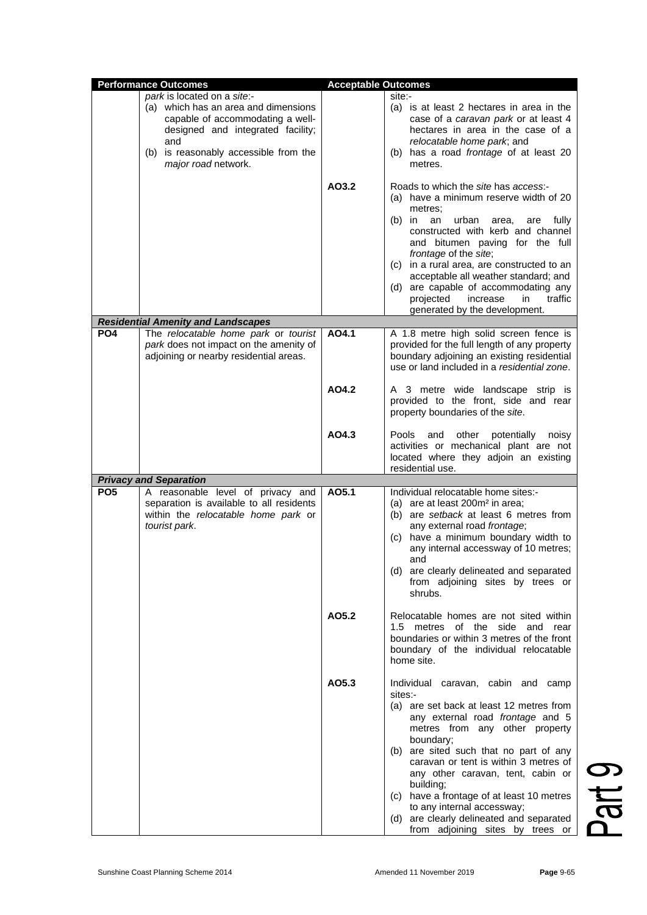| <b>Performance Outcomes</b> |                                                                                                                                                                                                                     | <b>Acceptable Outcomes</b> |                                                                                                                                                                                                                                                                                                                                                                                                                                                                              |               |
|-----------------------------|---------------------------------------------------------------------------------------------------------------------------------------------------------------------------------------------------------------------|----------------------------|------------------------------------------------------------------------------------------------------------------------------------------------------------------------------------------------------------------------------------------------------------------------------------------------------------------------------------------------------------------------------------------------------------------------------------------------------------------------------|---------------|
|                             | park is located on a site:-<br>(a) which has an area and dimensions<br>capable of accommodating a well-<br>designed and integrated facility;<br>and<br>(b) is reasonably accessible from the<br>major road network. |                            | site:-<br>(a) is at least 2 hectares in area in the<br>case of a caravan park or at least 4<br>hectares in area in the case of a<br>relocatable home park; and<br>(b) has a road frontage of at least 20<br>metres.                                                                                                                                                                                                                                                          |               |
|                             | <b>Residential Amenity and Landscapes</b>                                                                                                                                                                           | AO3.2                      | Roads to which the site has access:-<br>(a) have a minimum reserve width of 20<br>metres;<br>$(b)$ in<br>an<br>urban<br>fully<br>area,<br>are<br>constructed with kerb and channel<br>and bitumen paving for the full<br>frontage of the site;<br>(c) in a rural area, are constructed to an<br>acceptable all weather standard; and<br>(d) are capable of accommodating any<br>projected<br>in<br>traffic<br>increase<br>generated by the development.                      |               |
| PO <sub>4</sub>             | The relocatable home park or tourist<br>park does not impact on the amenity of<br>adjoining or nearby residential areas.                                                                                            | AO4.1                      | A 1.8 metre high solid screen fence is<br>provided for the full length of any property<br>boundary adjoining an existing residential<br>use or land included in a residential zone.                                                                                                                                                                                                                                                                                          |               |
|                             |                                                                                                                                                                                                                     | AO4.2                      | A 3 metre wide landscape strip is<br>provided to the front, side and rear<br>property boundaries of the site.                                                                                                                                                                                                                                                                                                                                                                |               |
|                             |                                                                                                                                                                                                                     | AO4.3                      | Pools and other potentially<br>noisy<br>activities or mechanical plant are not<br>located where they adjoin an existing<br>residential use.                                                                                                                                                                                                                                                                                                                                  |               |
|                             | <b>Privacy and Separation</b>                                                                                                                                                                                       |                            |                                                                                                                                                                                                                                                                                                                                                                                                                                                                              |               |
| PO <sub>5</sub>             | A reasonable level of privacy and<br>separation is available to all residents<br>within the relocatable home park or<br>tourist park.                                                                               | AO5.1                      | Individual relocatable home sites:-<br>(a) are at least 200m <sup>2</sup> in area;<br>(b) are setback at least 6 metres from<br>any external road frontage;<br>(c) have a minimum boundary width to<br>any internal accessway of 10 metres;<br>and<br>(d) are clearly delineated and separated<br>from adjoining sites by trees or<br>shrubs.                                                                                                                                |               |
|                             |                                                                                                                                                                                                                     | AO5.2                      | Relocatable homes are not sited within<br>1.5 metres of the side and rear<br>boundaries or within 3 metres of the front<br>boundary of the individual relocatable<br>home site.                                                                                                                                                                                                                                                                                              |               |
|                             |                                                                                                                                                                                                                     | AO5.3                      | Individual caravan, cabin and camp<br>sites:-<br>(a) are set back at least 12 metres from<br>any external road frontage and 5<br>metres from any other property<br>boundary;<br>(b) are sited such that no part of any<br>caravan or tent is within 3 metres of<br>any other caravan, tent, cabin or<br>building;<br>(c) have a frontage of at least 10 metres<br>to any internal accessway;<br>(d) are clearly delineated and separated<br>from adjoining sites by trees or | $\frac{1}{2}$ |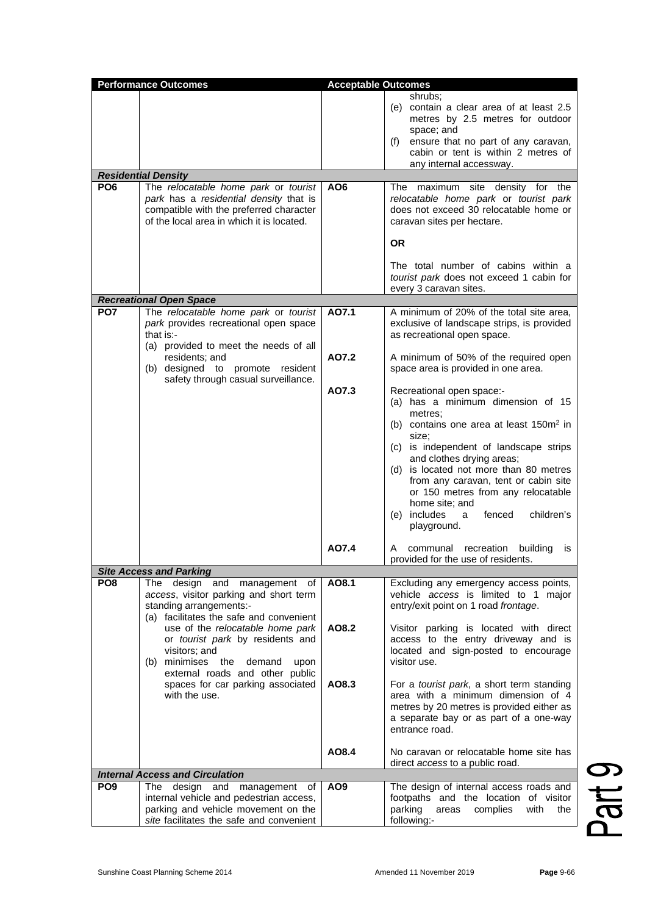| <b>Performance Outcomes</b><br><b>Acceptable Outcomes</b> |                                                                                                                                                                                                                                                                              |                 |                                                                                                                                                                                                                                                                                                                                                                                                                          |
|-----------------------------------------------------------|------------------------------------------------------------------------------------------------------------------------------------------------------------------------------------------------------------------------------------------------------------------------------|-----------------|--------------------------------------------------------------------------------------------------------------------------------------------------------------------------------------------------------------------------------------------------------------------------------------------------------------------------------------------------------------------------------------------------------------------------|
| PO <sub>6</sub>                                           | <b>Residential Density</b><br>The relocatable home park or tourist<br>park has a residential density that is<br>compatible with the preferred character<br>of the local area in which it is located.                                                                         | AO <sub>6</sub> | shrubs:<br>(e) contain a clear area of at least 2.5<br>metres by 2.5 metres for outdoor<br>space; and<br>ensure that no part of any caravan,<br>(f)<br>cabin or tent is within 2 metres of<br>any internal accessway.<br>The maximum site density for the<br>relocatable home park or tourist park<br>does not exceed 30 relocatable home or<br>caravan sites per hectare.<br>OR.<br>The total number of cabins within a |
|                                                           |                                                                                                                                                                                                                                                                              |                 | tourist park does not exceed 1 cabin for<br>every 3 caravan sites.                                                                                                                                                                                                                                                                                                                                                       |
|                                                           | <b>Recreational Open Space</b>                                                                                                                                                                                                                                               |                 |                                                                                                                                                                                                                                                                                                                                                                                                                          |
| PO <sub>7</sub>                                           | The relocatable home park or tourist<br>park provides recreational open space<br>that is:-<br>(a) provided to meet the needs of all<br>residents; and<br>(b) designed to promote resident                                                                                    | A07.1<br>A07.2  | A minimum of 20% of the total site area,<br>exclusive of landscape strips, is provided<br>as recreational open space.<br>A minimum of 50% of the required open<br>space area is provided in one area.                                                                                                                                                                                                                    |
|                                                           | safety through casual surveillance.                                                                                                                                                                                                                                          | AO7.3           | Recreational open space:-<br>(a) has a minimum dimension of 15<br>metres;<br>(b) contains one area at least $150m^2$ in<br>size;<br>(c) is independent of landscape strips<br>and clothes drying areas;<br>is located not more than 80 metres<br>(d)<br>from any caravan, tent or cabin site<br>or 150 metres from any relocatable<br>home site; and<br>includes<br>fenced<br>children's<br>a<br>(e)<br>playground.      |
|                                                           |                                                                                                                                                                                                                                                                              | AO7.4           | communal recreation<br>building<br>A<br>IS<br>provided for the use of residents.                                                                                                                                                                                                                                                                                                                                         |
|                                                           | <b>Site Access and Parking</b>                                                                                                                                                                                                                                               |                 |                                                                                                                                                                                                                                                                                                                                                                                                                          |
| PO <sub>8</sub>                                           | The design and management of<br>access, visitor parking and short term<br>standing arrangements:-<br>(a) facilitates the safe and convenient<br>use of the relocatable home park<br>or tourist park by residents and<br>visitors; and<br>(b) minimises the<br>demand<br>upon | AO8.1<br>AO8.2  | Excluding any emergency access points,<br>vehicle access is limited to 1 major<br>entry/exit point on 1 road frontage.<br>Visitor parking is located with direct<br>access to the entry driveway and is<br>located and sign-posted to encourage<br>visitor use.                                                                                                                                                          |
|                                                           | external roads and other public<br>spaces for car parking associated<br>with the use.                                                                                                                                                                                        | AO8.3           | For a tourist park, a short term standing<br>area with a minimum dimension of 4<br>metres by 20 metres is provided either as<br>a separate bay or as part of a one-way<br>entrance road.                                                                                                                                                                                                                                 |
|                                                           |                                                                                                                                                                                                                                                                              | AO8.4           | No caravan or relocatable home site has                                                                                                                                                                                                                                                                                                                                                                                  |
|                                                           | <b>Internal Access and Circulation</b>                                                                                                                                                                                                                                       |                 | direct access to a public road.                                                                                                                                                                                                                                                                                                                                                                                          |
| PO <sub>9</sub>                                           | design<br>and<br>management<br>The<br>οf                                                                                                                                                                                                                                     | AO <sub>9</sub> | The design of internal access roads and                                                                                                                                                                                                                                                                                                                                                                                  |
|                                                           | internal vehicle and pedestrian access,<br>parking and vehicle movement on the<br>site facilitates the safe and convenient                                                                                                                                                   |                 | footpaths and the location of visitor<br>with<br>parking<br>areas<br>complies<br>the<br>following:-                                                                                                                                                                                                                                                                                                                      |

Part 9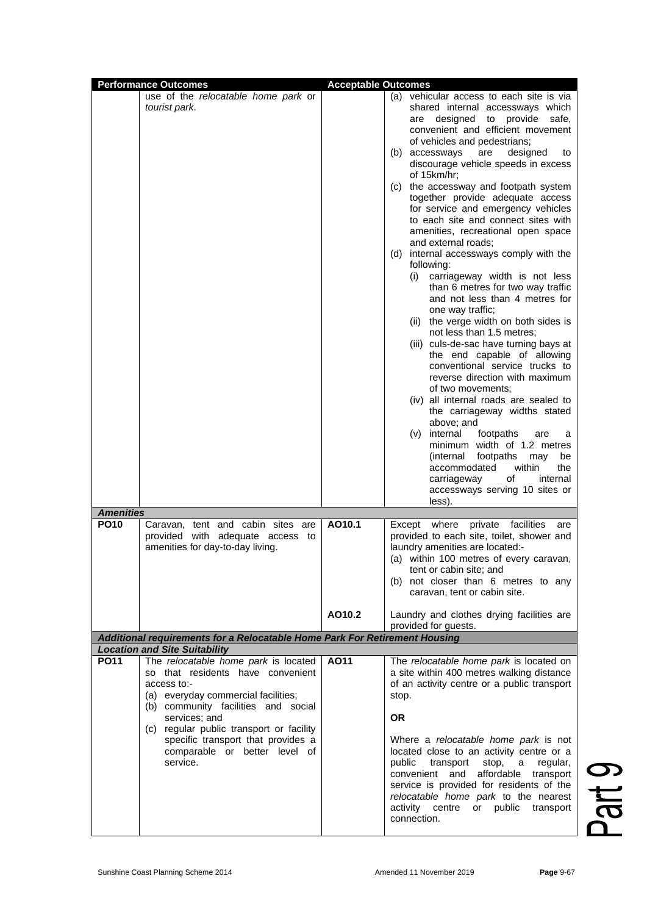|                                 | <b>Performance Outcomes</b>                                                                                                                                                                                                                                                    | <b>Acceptable Outcomes</b> |                                                                                                                                                                                                                                                                                                                                                                                                                                                                                                                                                                                                                                                                                                                                                                                                                                                                                                                                                                                                                                                                                                                                                                                                                                                                                 |
|---------------------------------|--------------------------------------------------------------------------------------------------------------------------------------------------------------------------------------------------------------------------------------------------------------------------------|----------------------------|---------------------------------------------------------------------------------------------------------------------------------------------------------------------------------------------------------------------------------------------------------------------------------------------------------------------------------------------------------------------------------------------------------------------------------------------------------------------------------------------------------------------------------------------------------------------------------------------------------------------------------------------------------------------------------------------------------------------------------------------------------------------------------------------------------------------------------------------------------------------------------------------------------------------------------------------------------------------------------------------------------------------------------------------------------------------------------------------------------------------------------------------------------------------------------------------------------------------------------------------------------------------------------|
|                                 | use of the relocatable home park or<br>tourist park.                                                                                                                                                                                                                           |                            | (a) vehicular access to each site is via<br>shared internal accessways which<br>designed to provide<br>safe,<br>are<br>convenient and efficient movement<br>of vehicles and pedestrians;<br>(b) accessways<br>designed<br>are<br>to<br>discourage vehicle speeds in excess<br>of 15km/hr;<br>(c) the accessway and footpath system<br>together provide adequate access<br>for service and emergency vehicles<br>to each site and connect sites with<br>amenities, recreational open space<br>and external roads;<br>internal accessways comply with the<br>(d)<br>following:<br>carriageway width is not less<br>(i)<br>than 6 metres for two way traffic<br>and not less than 4 metres for<br>one way traffic;<br>(ii) the verge width on both sides is<br>not less than 1.5 metres;<br>(iii) culs-de-sac have turning bays at<br>the end capable of allowing<br>conventional service trucks to<br>reverse direction with maximum<br>of two movements;<br>(iv) all internal roads are sealed to<br>the carriageway widths stated<br>above; and<br>internal<br>footpaths<br>(v)<br>are<br>a<br>minimum width of 1.2 metres<br>(internal<br>footpaths<br>may<br>be<br>within<br>accommodated<br>the<br>of<br>carriageway<br>internal<br>accessways serving 10 sites or<br>less). |
| <b>Amenities</b><br><b>PO10</b> | Caravan, tent and cabin sites are<br>provided with adequate access to<br>amenities for day-to-day living.                                                                                                                                                                      | AO10.1<br>AO10.2           | Except where private facilities<br>are<br>provided to each site, toilet, shower and<br>laundry amenities are located:-<br>(a) within 100 metres of every caravan,<br>tent or cabin site; and<br>(b) not closer than 6 metres to any<br>caravan, tent or cabin site.<br>Laundry and clothes drying facilities are                                                                                                                                                                                                                                                                                                                                                                                                                                                                                                                                                                                                                                                                                                                                                                                                                                                                                                                                                                |
|                                 |                                                                                                                                                                                                                                                                                |                            | provided for guests.                                                                                                                                                                                                                                                                                                                                                                                                                                                                                                                                                                                                                                                                                                                                                                                                                                                                                                                                                                                                                                                                                                                                                                                                                                                            |
|                                 | Additional requirements for a Relocatable Home Park For Retirement Housing                                                                                                                                                                                                     |                            |                                                                                                                                                                                                                                                                                                                                                                                                                                                                                                                                                                                                                                                                                                                                                                                                                                                                                                                                                                                                                                                                                                                                                                                                                                                                                 |
| <b>PO11</b>                     | <b>Location and Site Suitability</b><br>The relocatable home park is located                                                                                                                                                                                                   | A011                       | The relocatable home park is located on                                                                                                                                                                                                                                                                                                                                                                                                                                                                                                                                                                                                                                                                                                                                                                                                                                                                                                                                                                                                                                                                                                                                                                                                                                         |
|                                 | so that residents have convenient<br>access to:-<br>(a) everyday commercial facilities;<br>(b) community facilities and social<br>services; and<br>(c) regular public transport or facility<br>specific transport that provides a<br>comparable or better level of<br>service. |                            | a site within 400 metres walking distance<br>of an activity centre or a public transport<br>stop.<br><b>OR</b><br>Where a relocatable home park is not<br>located close to an activity centre or a<br>public<br>transport<br>stop,<br>regular,<br>a<br>and affordable<br>convenient<br>transport<br>service is provided for residents of the                                                                                                                                                                                                                                                                                                                                                                                                                                                                                                                                                                                                                                                                                                                                                                                                                                                                                                                                    |
|                                 |                                                                                                                                                                                                                                                                                |                            | relocatable home park to the nearest<br>activity centre<br>public<br>or<br>transport<br>connection.                                                                                                                                                                                                                                                                                                                                                                                                                                                                                                                                                                                                                                                                                                                                                                                                                                                                                                                                                                                                                                                                                                                                                                             |